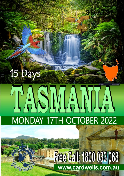# TASMAMIA **MONDAY 17TH OCTOBER 2022**

15 Days

# **Free Call: 1800 033 068** www.cardwells.com.au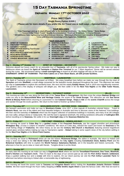# **15 Day Tasmania Springtime**

# **Departs: Monday 17TH OCTOBER 2022**

## **Price: \$6077 Each**

**Single Room Option \$1926 )** 

**( Please ask for more details if you prefer the Air Travel one or both ways – Optional Extra )** 

#### **TOUR INCLUDES:**

**\* Free Passenger pick up & return (Please refer to the booking conditions) \* No Hidden Extras \* Name Badge \* Luxury 5 Star Coach Travel \* Quality Accommodation \* Hot/Cold Breakfasts \* 2 Course Dinners \* All Admission fees, sightseeing tours & cruises per itinerary \* Morning & Afternoon teas (weather & time permitting) \* Crew with extensive knowledge of the Apple Isle, TASMANIA**

# **FOUR HIGHLIGHTS**<br>SPIRIT OF TASMANIA **A** SHEFFIELD MUR

- **SHEFFIELD MURALS**<br>ENTALLY HOUSE ♦ TASMANIAN DEVIL
- **FREYCINET PENINSULA CRUISE ♦ ENTALLY HOUSE ♦ TASMANIAN D<br>CATARACT GORGE ♦ ALLENDALE GARDEN ♦ ABT RAILWAY** 
	- **ALLENDALE GARDEN ♦ ABT RAILWAY**<br>HISTORIC RICHMOND ♦ 4 NIGHTS HOBART
- ⧫ **PORT ARTHUR Walking Tour/Cruise** ⧫ **HISTORIC RICHMOND** ⧫ **4 NIGHTS - HOBART**
	- **WOOLNORTH − WIND FARM ♦** HISTORIC STANLEY THE NUT
- ⧫ **BEACONSFIELD HERITAGE CENTRE** ⧫ **STANLEY - THE NUT** ⧫ **BICHENO**
	-
- ⧫ **WOOLMERS ESTATE** ⧫ **QUEENSTOWN** ⧫ **SMITHTON**  ⧫ **GORDON RIVER CRUISE** ⧫ **HUON VALLEY – APPLE MUSEUM** ⧫ **THE WALL**
- -
	- -

**CRADLE MOUNTAIN – DOVE LAKE** <<<<<<<<<<<<<<<<<<<<<<<<<<<<<<<<<<<<<<<<<<<<<<<<<>>>>>>>>>>>>>>>>>>>>>>>>>>>>>>>>>>>>>>>>>>>>>>>>>>>>

**Day 1 – Monday 17<sup>th</sup> October '22 SPIRIT OF TASMANIA – DEVONPORT** 

Welcome aboard our luxury coach for an enjoyable tour of **Tasmania**, with all of its spectacular Spring colour. We make our way to Melbourne where we board the **Spirit of Tasmania** at **Station Pier Terminal** for our 7.30pm departure. Dinner will be served onboard during the cruise. We recommend taking a **small overnight bag** on board as all other luggage will stay on the coach. **OVERNIGHT: SPIRIT OF TASMANIA - Port Hole Cabins on a Twin Share Basis, all with private facilities.**

#### **DAY 2 – Tuesday 18th**

#### **SHEFFIELD - LAUNCESTON** (B,D)

The Spirit of Tasmania arrives into Devonport at 6.00am. We enjoy breakfast here before we make our way through the tiny town of **Spreyton** and onto **Sheffield**, a small village renowned for the beautiful murals displayed throughout the town. This afternoon we make our way to **Launceston** to explore this wonderful town. We next visit the stately **Entally House**, built in 1819 now magnificently restored. The gardens and a fine display of antiques will delight you. We then settle in for the **Next Two Nights** at the **Olde Tudor House, Launceston.**

#### **Day 3 – Wednesday 19th GEORGETOWN – CATARACT GORGE (B,L,D)**

This morning we make our way along the East side of the **Tamar River** to **Georgetown.** We then cross the unique **Batman Bridge** and make our way to the **Beaconsfield Mine and Heritage Centre**, the scene of the **Great Escape**. This afternoon we visit **Sea Horse World at Beauty Point** before returning to Launceston to visit **Cataract Gorge. Enjoy a ride** on the **scenic Chairlift** across the Gorge and wander through the exotic gardens. We return to the motel to freshen up before Dinner.

#### **DAY 4 -Thursday 20th**

#### **WOOLMERS ESTATE – HISTORIC ROSS - SWANSEA (B,D)**

We farewell Launceston and make our way to **Woolmers Estate**, circa 1817, a time capsule of Australian colonial history. Travel to **Historic Ross**, see one of the oldest and most beautiful bridges in Australia and time to discover some of the National Trust buildings. We then visit the township of **Oatlands** which has the largest collection of sandstone buildings in Australia, and many of its old cottages are now cafes, antique stores or restaurants. We visit the town's signature landmark, the striking sandstone silhouette of **Callington Mill**, before travelling on to **Swansea.** We settle in for our **Overnight stay** at the **Swansea Waterloo Inn.**

#### **DAY 5 - Friday 21st**

 **FREYCINET PENINSULA – WINEGLASS BAY (B,D)**

This morning we travel to **Coles Bay** for a **guided cruise** of the **Freycinet Peninsula,** see the rugged shoreline and picturesque **Wineglass Bay**. *(Cruise is subject to weather conditions).* We return to Coles Bay, reboard the coach and travel via **Swansea** to the small fishing village of **Triabunna**. We relive history as we see the **Century Old Church** at **Buckland,** featuring several magnificent stained glass windows before making our way to Tasmania's capital – **Hobart** taking in some superb views of the city before settling in for the **Next Four Nights** at the **Wrest Point Casino.** 

#### **DAY 6 – Saturday 22nd**

#### **CITY SIGHTS SALAMANCA MARKET-FREE AFTERNOON (B,D)**

This morning we travel to **Richmond** where we see the historic **Richmond Bridge**, the oldest in Australia. We return to Hobart and enjoy a town tour taking in the **Old World Charm of Hobart**, the **City sights** including **Constitution Dock, Battery Point** and the **Botanical Gardens** with time to explore the **World Famous Salamanca Markets**, set in the beautiful and historic surrounds. This afternoon is free for you to relax or meet with friends. Tonights dinner is at the Motel.

#### **DAY 7 – Sunday 23rd**

**PORT ARTHUR** An early start this morning as we make our way to **Eaglehawk Neck** where we visit the **Tessellated Pavement, Doo Town, Blowhole, Devil's Kitchen** and **Tasman's Arch.** Then it's back to the days of our convict past as we visit the **Port Arthur historic settlement.** Enjoy a guided walking tour and a **cruise** with time to explore**.** On our return journey we visit the **Port Arthur Lavender Farm** for afternoon tea before returning to Hobart after a memorable day of sightseeing.

#### **DAY 8 – Monday 24 th**

#### This morning we travel the scenic route to **Taroona** and **Kingston Beach** before visiting the **Australian Antartic Division Visitors Centre**. We then travel through the Huon Valley Stopping at **Willie Smiths Apple Shed** to taste the famous Cider. After that we travel to

#### **HUON VALLEY**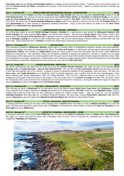**Geeveston and** visit the **Forest and Heritage Centre** for a display of forest and timber history. Travel the Arve Forest Drive where we visit the **Tahune Forest Air Walk**, overlooking the junction of the Picton and Huon Rivers.Return to Hobart with time to freshen up before Dinner.

#### **Day 9 – Tuesday 25th WORLD HERITAGE WILDERNESS REGION – QUEENSTOWN (B,D)**

This morning we farewell **Hobart** and follow the **Derwent River, New Norfolk** then onto the impressive **Russell Falls** located in the **Mt Field National Park.** We continue our journey passing the giant **Hydro Power Station** at **Tarraleah** and **Derwent Bridge** on our way to **Lake St. Clare National Park.** Here we enjoy lunch and a chance to explore **"The Wall",** which features lifelike sculptures carved from Huon Pine. We travel into the **World Heritage Wilderness Region** with its raw beauty to arouse us as we cross the **Franklin River** and onto **Queenstown** for a total contrast as vegetation suddenly diminishes. Enjoy a town tour before we settle in for the **Next Three Nights** at the **Chancellor Inn, Queenstown.**

#### **DAY 10 - Wednesday 26th**

An exciting day awaits as we join **World Heritage Cruises** at **Strahan** for a spectacular cruise across the **Macquarie Harbour with lunch included.** We cruise towards **Hell's Gates** - the mouth of the harbour. We go ashore **Sarah Island**, where Marcus Clark's wellknown story **"For the term of his Natural Life"** originated, and then continue along the placid **Gordon River**. The cruiser makes a brief stop at **Heritage Landing** for a chance to take a wilderness walk. We see the natural beauty of dense rainforest and the 2000 Year Old Huon Pine. Enjoy some free time in **Strahan** to explore the shops before returning to Queenstown.

 **GORDON RIVER CRUISE - STRAHAN (BLD)**

#### **DAY 11 – Thursday 27th**

This morning we board the **Wilderness Railway,** which takes us through 35km of breathtaking rainforest, beside rivers and waterfalls, passing over bridges and along the towering Huon Pines. The **Rach and Gorge** is a spectacular half-day steam train journey departing **Queenstown Station** and travelling to **Dubbil Barril** along the steep grades of the rack and pinion that the West Coast Wilderness Railway is renowned for. The King River Gorge and old growth rainforest complete the experience. Sit back in comfort as your guide brings stories of the railway and its resilient people to life. Discover how the feud of the Irishmen helped shape the wild West Coast. After this wonderful trip we enjoy a guided tour of Queenstown and Tasmania's largest special timbers sawmill (including Huon and King Billy pine) including an interactive interpreted tour also we visit the mine site of the **Mt Lyell mine**.

**DAY 12 - Friday 28th CRADLE MOUNTAIN - SMITHTON (B,D)** We depart Queenstown and step back into time as we visit the **Zeehan Pioneer Museum**. We make our way to the beautiful **World Heritage Area** of **Cradle Mountain - Lake St Clair National Park.** We visit the incredible **Information Centre** that will open your eyes to this wild and beautiful part of our country. It boasts a series of impressive displays of the geography, flora and fauna. We also visit **Dove Lake**, with **Cradle Mountain** as its backdrop, which is equally impressive and a perfect shot for the keen photographer. Learn about Austrian born Gustav Weindorfer's vision for Cradle Mountain "*This must be a National Park for the people for all time. It is magnificent and people must know about it and enjoy it".* We also make time to visit **Devils @ Cradle** and both view, and learn, about the Tasmanian Devil, once found all over Australia but can now only be found in Tasmania. Leaving this wilderness region we make our

#### **DAY 13 – Saturday 29th**

way to **Smithton** to relax for the **Night** at the **Tall Timbers Motel.** 

## **The NUT – WOOLNORTH - WYNYARD (B,D)**

This morning we travel to **Woolnorth** for an informative tour of the State's largest **Wind Farm, Cape Grim** and **Cookhouse Cottage**. Then onwards to the historic township of **Stanley** dominated by its striking feature **'The Nut'** where we visit **Highfield House.** Enjoy a chairlift ride to the top of the 'Nut' *(at own expense)* to capture the superb coastal sights. **Allendale Gardens,** best described as a miniature Botanical Gardens. We also enjoy a lovely **Devonshire Afternoon Tea.** We then travel to **Wynyard** to stay the night at the **Waterfront Wynyard Motor Inn** with time to relax before Dinner.

#### **DAY 14 - Sunday 30th**

#### **Burnie – Devonport - Spirit Of Tasmania (B,D)**

A relaxing start this morning as we enjoy some shopping time in **Burnie** before we make our way to **Hellyers Distillery** for a visit and taste. We then travel along the scenic coast road via **Penguin** to Devonport for dinner before we board the **Spirit of Tasmania** for our **Overnight** journey to **Melbourne.**

#### **DAY 15 – Monday 31st**

## **SPIRIT OF TASMANIA - MELBOURNE – HOME**

A chance to enjoy the views across **Port Phillip Bay** this morning as the **Spirit of Tasmania** berths at **Station Pier, Port Melbourne.** We rejoin our coach and head for home with a breakfast stop en-route. Time for morning tea, farewells and to reflect on all the magnificent **Highlights of Tasmania.**



 **ABT RAILWAY (BLD)**